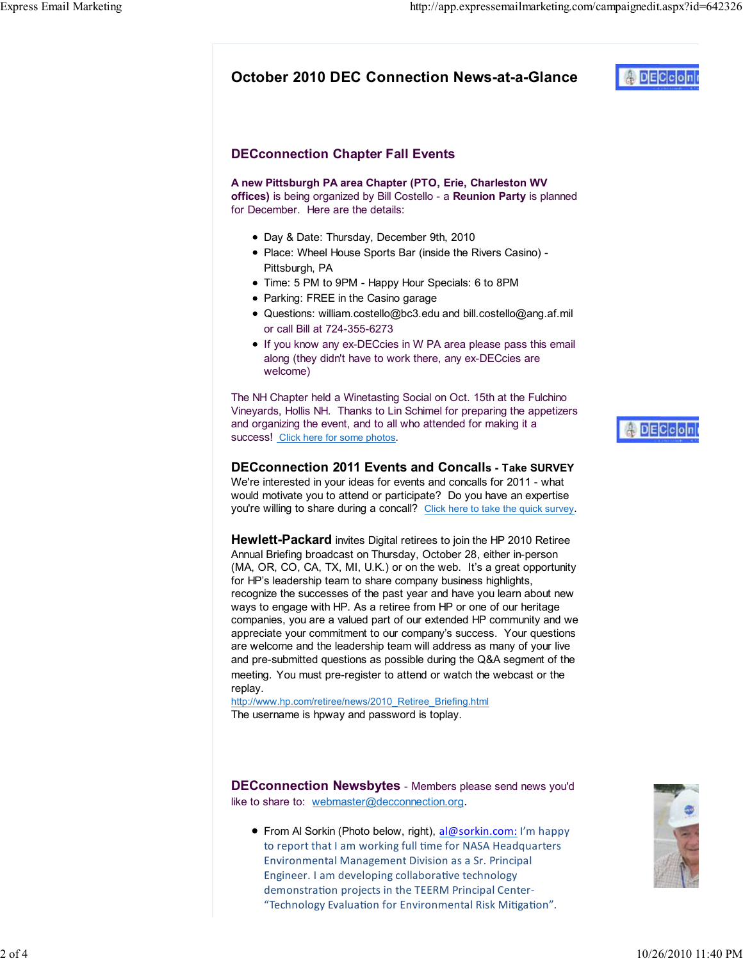## DECconnection Chapter Fall Events

A new Pittsburgh PA area Chapter (PTO, Erie, Charleston WV offices) is being organized by Bill Costello - a Reunion Party is planned for December. Here are the details:

- Day & Date: Thursday, December 9th, 2010
- Place: Wheel House Sports Bar (inside the Rivers Casino) Pittsburgh, PA
- Time: 5 PM to 9PM Happy Hour Specials: 6 to 8PM
- Parking: FREE in the Casino garage
- Questions: william.costello@bc3.edu and bill.costello@ang.af.mil or call Bill at 724-355-6273
- If you know any ex-DECcies in W PA area please pass this email along (they didn't have to work there, any ex-DECcies are welcome)

The NH Chapter held a Winetasting Social on Oct. 15th at the Fulchino Vineyards, Hollis NH. Thanks to Lin Schimel for preparing the appetizers and organizing the event, and to all who attended for making it a success! Click here for some photos.

## DECconnection 2011 Events and Concalls - Take SURVEY

We're interested in your ideas for events and concalls for 2011 - what would motivate you to attend or participate? Do you have an expertise you're willing to share during a concall? Click here to take the quick survey.

**Hewlett-Packard** invites Digital retirees to join the HP 2010 Retiree Annual Briefing broadcast on Thursday, October 28, either in-person (MA, OR, CO, CA, TX, MI, U.K.) or on the web. It's a great opportunity for HP's leadership team to share company business highlights, recognize the successes of the past year and have you learn about new ways to engage with HP. As a retiree from HP or one of our heritage companies, you are a valued part of our extended HP community and we appreciate your commitment to our company's success. Your questions are welcome and the leadership team will address as many of your live and pre-submitted questions as possible during the Q&A segment of the meeting. You must pre-register to attend or watch the webcast or the replay.

http://www.hp.com/retiree/news/2010\_Retiree\_Briefing.html The username is hpway and password is toplay.

**DECconnection Newsbytes** - Members please send news you'd like to share to: webmaster@decconnection.org.

● From Al Sorkin (Photo below, right), al@sorkin.com: I'm happy to report that I am working full time for NASA Headquarters Environmental Management Division as a Sr. Principal Engineer. I am developing collaborative technology demonstration projects in the TEERM Principal Center-"Technology Evaluation for Environmental Risk Mitigation".